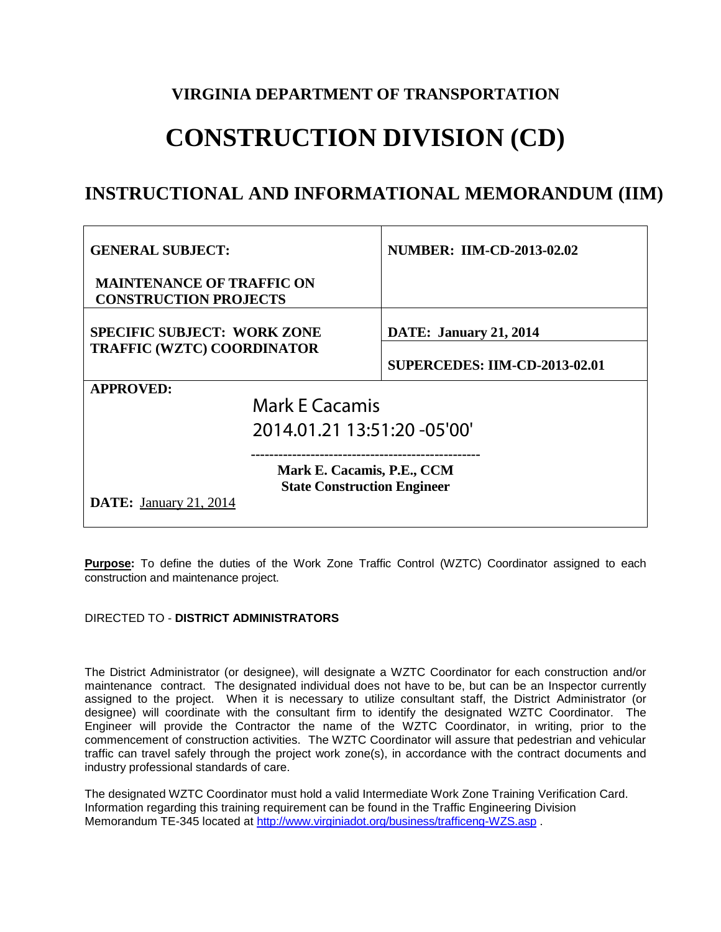## **VIRGINIA DEPARTMENT OF TRANSPORTATION**

# **CONSTRUCTION DIVISION (CD)**

# **INSTRUCTIONAL AND INFORMATIONAL MEMORANDUM (IIM)**

| <b>GENERAL SUBJECT:</b>                                                                           | <b>NUMBER: IIM-CD-2013-02.02</b>     |
|---------------------------------------------------------------------------------------------------|--------------------------------------|
| <b>MAINTENANCE OF TRAFFIC ON</b><br><b>CONSTRUCTION PROJECTS</b>                                  |                                      |
| <b>SPECIFIC SUBJECT: WORK ZONE</b>                                                                | <b>DATE: January 21, 2014</b>        |
| <b>TRAFFIC (WZTC) COORDINATOR</b>                                                                 | <b>SUPERCEDES: IIM-CD-2013-02.01</b> |
| <b>APPROVED:</b>                                                                                  |                                      |
| <b>Mark E Cacamis</b>                                                                             |                                      |
| 2014.01.21 13:51:20 -05'00'                                                                       |                                      |
| Mark E. Cacamis, P.E., CCM<br><b>State Construction Engineer</b><br><b>DATE:</b> January 21, 2014 |                                      |

**Purpose:** To define the duties of the Work Zone Traffic Control (WZTC) Coordinator assigned to each construction and maintenance project.

#### DIRECTED TO - **DISTRICT ADMINISTRATORS**

The District Administrator (or designee), will designate a WZTC Coordinator for each construction and/or maintenance contract. The designated individual does not have to be, but can be an Inspector currently assigned to the project. When it is necessary to utilize consultant staff, the District Administrator (or designee) will coordinate with the consultant firm to identify the designated WZTC Coordinator. The Engineer will provide the Contractor the name of the WZTC Coordinator, in writing, prior to the commencement of construction activities. The WZTC Coordinator will assure that pedestrian and vehicular traffic can travel safely through the project work zone(s), in accordance with the contract documents and industry professional standards of care.

The designated WZTC Coordinator must hold a valid Intermediate Work Zone Training Verification Card. Information regarding this training requirement can be found in the Traffic Engineering Division Memorandum TE-345 located at<http://www.virginiadot.org/business/trafficeng-WZS.asp> .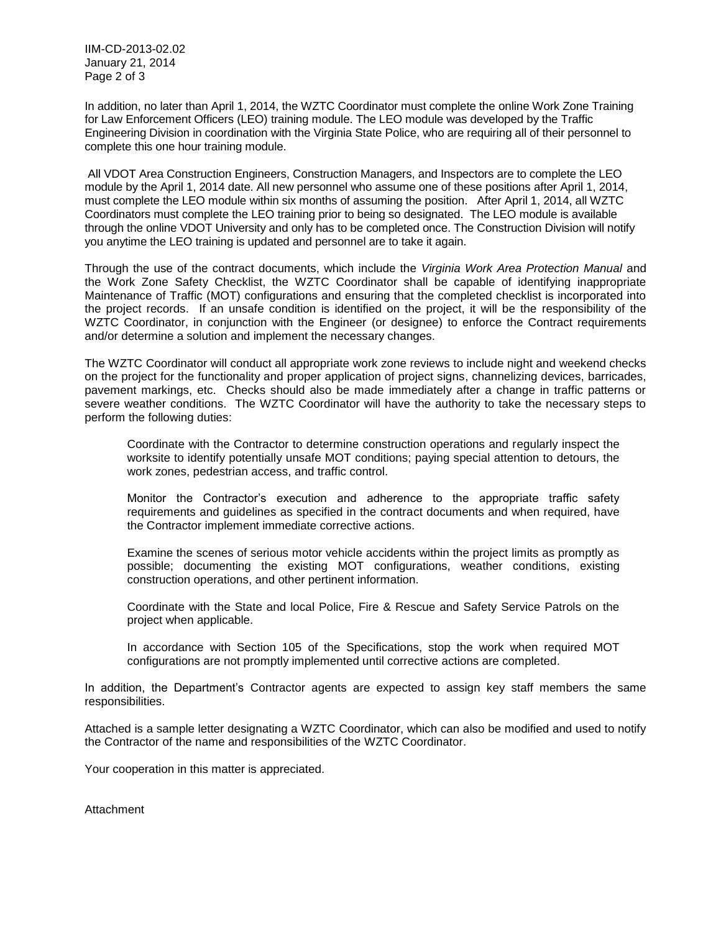IIM-CD-2013-02.02 January 21, 2014 Page 2 of 3

In addition, no later than April 1, 2014, the WZTC Coordinator must complete the online Work Zone Training for Law Enforcement Officers (LEO) training module. The LEO module was developed by the Traffic Engineering Division in coordination with the Virginia State Police, who are requiring all of their personnel to complete this one hour training module.

All VDOT Area Construction Engineers, Construction Managers, and Inspectors are to complete the LEO module by the April 1, 2014 date. All new personnel who assume one of these positions after April 1, 2014, must complete the LEO module within six months of assuming the position. After April 1, 2014, all WZTC Coordinators must complete the LEO training prior to being so designated. The LEO module is available through the online VDOT University and only has to be completed once. The Construction Division will notify you anytime the LEO training is updated and personnel are to take it again.

Through the use of the contract documents, which include the *Virginia Work Area Protection Manual* and the Work Zone Safety Checklist, the WZTC Coordinator shall be capable of identifying inappropriate Maintenance of Traffic (MOT) configurations and ensuring that the completed checklist is incorporated into the project records. If an unsafe condition is identified on the project, it will be the responsibility of the WZTC Coordinator, in conjunction with the Engineer (or designee) to enforce the Contract requirements and/or determine a solution and implement the necessary changes.

The WZTC Coordinator will conduct all appropriate work zone reviews to include night and weekend checks on the project for the functionality and proper application of project signs, channelizing devices, barricades, pavement markings, etc. Checks should also be made immediately after a change in traffic patterns or severe weather conditions. The WZTC Coordinator will have the authority to take the necessary steps to perform the following duties:

Coordinate with the Contractor to determine construction operations and regularly inspect the worksite to identify potentially unsafe MOT conditions; paying special attention to detours, the work zones, pedestrian access, and traffic control.

Monitor the Contractor's execution and adherence to the appropriate traffic safety requirements and guidelines as specified in the contract documents and when required, have the Contractor implement immediate corrective actions.

Examine the scenes of serious motor vehicle accidents within the project limits as promptly as possible; documenting the existing MOT configurations, weather conditions, existing construction operations, and other pertinent information.

Coordinate with the State and local Police, Fire & Rescue and Safety Service Patrols on the project when applicable.

In accordance with Section 105 of the Specifications, stop the work when required MOT configurations are not promptly implemented until corrective actions are completed.

In addition, the Department's Contractor agents are expected to assign key staff members the same responsibilities.

Attached is a sample letter designating a WZTC Coordinator, which can also be modified and used to notify the Contractor of the name and responsibilities of the WZTC Coordinator.

Your cooperation in this matter is appreciated.

Attachment